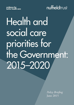nuffieldtrust

# Health and social care priorities for the Government: 2015–2020

*Policy Briefing* June 2015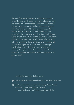The start of the new Parliament provides the opportunity for political and health leaders to develop a long-term plan that puts the NHS and social care system on a sustainable footing. As part of our role to deliver evidence to support better health policy, the Nuffield Trust has produced this briefing, which outlines 10 key health and social care priorities for the new Government. It outlines the challenges we believe are critical to the longer-term success of the health and social care system, and which the new administration will need to prioritise. The briefing draws on our published and forthcoming research, expert opinion and insights from key figures in the health and social care system, including through our quarterly leaders' surveys. It follows a series of briefings we published in the run up to the 2015 general election.

#### Join the discussion and find out more:



 $\blacklozenge$  Follow the health priorities debate on Twitter: [#healthpriorities](https://twitter.com/search?q=%23healthpriorities&src=tyah)

Find out more about our work informing political debate around the general election and beyond: [www.nuffieldtrust.org.uk/](www.nuffieldtrust.org.uk/informing-political-debate)informing-political-debate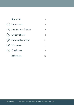|    | Key points              | 2  |
|----|-------------------------|----|
|    | Introduction            | 3  |
|    | (2) Funding and finance | 4  |
| 3) | Quality of care         | 9  |
|    | New models of care      | 13 |
| 5  | Workforce               | 15 |
|    | Conclusion              | 18 |
|    | References              | 19 |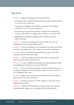## <span id="page-3-0"></span>Key points

- PRIORITY 1: Address the funding crisis facing the NHS by:
	- developing a plan to enable NHS hospital trusts to achieve financial balance over the next two to three years
	- committing to bringing in the  $£8$  billion minimum of extra funding smoothly over the course of the Parliament
	- demonstrating that this will be sufficient to support the transformation of services and to deliver on pledges such as moving to a 'seven-day' NHS
	- publishing the assumptions underlying the £22 billion of required efficiency savings.
- · priority 2: Commit to a fundamental review of health and social care funding that involves all major political parties.
- PRIORITY 3: Review the problems in the management and culture of the NHS and work across organisations to set in place an action plan to tackle them.
- PRIORITY 4: Review the effectiveness of performance targets in the NHS, starting with the four-hour A&E target.
- PRIORITY 5: Tackle the imbalance experienced by those accessing mental health compared to physical health services.
- PRIORITY 6: Set out a credible and funded plan for improving people's health and wellbeing through effective prevention of ill health.
- PRIORITY 7: Ensure that initiatives aiming to transform health and social care are adequately supported and evaluated, given time to succeed (or fail), and can be adopted in other areas.
- PRIORITY 8: Support and encourage the development of new care models in general practice and wider primary care.
- PRIORITY 9: Reconnect with the core NHS workforce in order that they are engaged and empowered.
- PRIORITY 10: Help the NHS implement successful workforce development and planning that realigns ways of working with the needs of patients.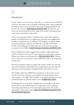# <span id="page-4-0"></span>1

## Introduction

David Cameron's new Government takes office at a crucial time for the NHS and social care. The health service in England is embarking upon a major programme of change in order to meet the needs of a growing and ageing population. The *Five Year Forward View* [\(NHS England and others, 2014\)](http://www.england.nhs.uk/wp-content/uploads/2014/10/5yfv-web.pdf) describes how care needs to be transformed and sets out a range of new models with opportunities to use various innovations to achieve this.

Yet the new Government takes on a health and care system under significant pressure, with NHS finances at a tipping point and social care struggling from the effects of significant cuts. According to NHS England, meeting the health needs of the population will leave the NHS with a shortfall of £30 billion by 2020. The funding gap for adult social care over the same time period is estimated to be £4.3 billion ([Local Government Association and ADASS, 2014](http://www.local.gov.uk/documents/10180/5854661/Adult+social+care+funding+2014+state+of+the+nation+report/e32866fa-d512-4e77-9961-8861d2d93238)).

Recent Nuffield Trust analysis suggested that a further 17,000 hospital beds would be needed over the next seven years unless more can be done to improve efficiency and enhance out-of-hospital care ([Smith and others, 2014\)](www.nuffieldtrust.org.uk/sites/files/nuffield/publication/financial_times_web.pdf). Waiting times – often seen as the barometer of the health of the system – are lengthening in many areas.

How the Government chooses to navigate this complex territory over the early years of this Parliament will therefore have a lasting impact upon the long-term performance and sustainability of England's health and social care services.

This briefing outlines the Nuffield Trust's perspective on the priority areas for the new Government, drawing on our published and forthcoming research, expert opinion, and insights from key figures in the health and social care system, including through our quarterly leaders' surveys ([Nuffield Trust, 2014a](http://www.nuffieldtrust.org.uk/our-work/projects/health-leaders-survey-results-4)).

The briefing focuses on the NHS in England, given that health is a devolved matter. However, the Nuffield Trust has a strong track record in analysing the funding and performance of the four health systems of the UK. Further information on this can be found at [http://www.nuffieldtrust.org.uk/our-work/](http://www.nuffieldtrust.org.uk/our-work/uk-international-comparisons) [uk-international-comparisons.](http://www.nuffieldtrust.org.uk/our-work/uk-international-comparisons)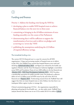# $1) (2) (3) (4) (5)$  $1) (2) (3) (4) (5)$  $1) (2) (3) (4) (5)$  $1) (2) (3) (4) (5)$  $1) (2) (3) (4) (5)$  $1) (2) (3) (4) (5)$  $1) (2) (3) (4) (5)$  $1) (2) (3) (4) (5)$

# <span id="page-5-0"></span>2

## Funding and finance

Priority 1: Address the funding crisis facing the NHS by:

- developing a plan to enable NHS hospital trusts to achieve financial balance over the next two to three years
- committing to bringing in the £8 billion minimum of extra funding smoothly over the course of the Parliament
- demonstrating that it will be sufficient to support the transformation of services and to deliver on pledges such as moving to a 'seven-day' NHS
- publishing the assumptions underlying the £22 billion of required efficiency savings.

### The immediate funding crisis

The current 2015/16 financial year is a cause for concern for all NHS organisations. A large and increasing number of hospital trusts are in deficit: in July 2014, the Nuffield Trust warned that hospital finances were weak and declining ([Lafond and others, 2014](http://www.nuffieldtrust.org.uk/sites/files/nuffield/publication/into-the-red-report.pdf)), and figures just released by the health care regulators Monitor and the Trust Development Authority highlight a total deficit across NHS and Foundation Trusts of over £800 million in the last financial year [\(Monitor, 2015;](https://www.gov.uk/government/uploads/system/uploads/attachment_data/file/429778/BM1552_Performance_of_the_NHSFT_sector_Q4_201415.pdf) [NHS Trust Development Authority, 2015\)](http://www.ntda.nhs.uk/wp-content/uploads/2015/03/Paper-D-Service-and-Financial-Performance-Report-for-March-2015.pdf). NHS Providers, a membership association for public provider trusts, has predicted a collective deficit of over £2 billion across all NHS trusts by the end of the 2015/16 financial year ([Hopson, 2015\)](http://www.nhsproviders.org/blogs/chris-hopsons-blog/new-health-secretary-general-election/). Forthcoming research from the Nuffield Trust will suggest that there are many hospital trusts at risk of failure, but that there is an inadequate failure regime in place to manage this.

Clinical commissioning groups (CCGs) – the organisations responsible for planning and paying for local health care – are also under strain. Nuffield Trust analysis showed that almost one in ten CCGs ended 2013/14 in deficit ([Lafond](http://www.nuffieldtrust.org.uk/sites/files/nuffield/publication/into_the_red.pdf)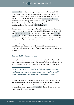# $\binom{2}{3} \binom{4}{4} \binom{5}{5}$  $\binom{2}{3} \binom{4}{4} \binom{5}{5}$  $\binom{2}{3} \binom{4}{4} \binom{5}{5}$  $\binom{2}{3} \binom{4}{4} \binom{5}{5}$  $\binom{2}{3} \binom{4}{4} \binom{5}{5}$  $\binom{2}{3} \binom{4}{4} \binom{5}{5}$  $\binom{2}{3} \binom{4}{4} \binom{5}{5}$  $\binom{2}{3} \binom{4}{4} \binom{5}{5}$  $\binom{2}{3} \binom{4}{4} \binom{5}{5}$

[and others, 2014](http://www.nuffieldtrust.org.uk/sites/files/nuffield/publication/into_the_red.pdf)), and there are signs that this number will increase in this financial year. As our recent briefing suggested, this could lead to financially distressed CCGs attempting to ration access to care – something that will be unpopular with the public and politicians alike ([Edwards and others, 2015](http://www.nuffieldtrust.org.uk/sites/files/nuffield/publication/rationing_in_the_nhs_0.pdf)). In addition, services directly commissioned by NHS England were overspent by £347 million in 2013/14, driven by a growth in specialised services which are provided in relatively few hospitals [\(NHS England, 2014\)](http://www.england.nhs.uk/wp-content/uploads/2014/05/item6-board-0514.pdf).

Financial strain is also evident in general practice, which has seen real-terms cuts in recent years, as have community and mental health services, and adult social care [\(Dayan and others, 2014\)](http://www.nuffieldtrust.org.uk/publications/general-practice-crisis). The coalition Government promised [a further](http://www.nuffieldtrust.org.uk/sites/files/nuffield/image/autumn_statement_main.jpg)  [£1.6 billion](http://www.nuffieldtrust.org.uk/sites/files/nuffield/image/autumn_statement_main.jpg) for the NHS in England for 2015/16, with £250 million earmarked to improve and upgrade GP services. But it is unlikely that this will address the financial shortfall that is predicted by organisations such as NHS Providers.

Rather than forcing some provider trusts to resort to drastic measures to achieve financial balance by the end of the 2015/16 financial year, we would support a more managed transition to achieving financial balance over the next two to three financial years.

### Phasing of the £8 billion extra funding

Looking further ahead, we welcome the Conservative Party's manifesto pledge to provide real-terms increases in the NHS budget of at least £8 billion by 2020, but it is not clear when any of this additional funding will kick in (see Figure 1).

*It is vital both from a sustainability and efficiency point of view that the Government commits to bringing in the extra funding smoothly over the course of the Parliament rather than back-loading it*

NHS England has said that above-inflation increases should come in smoothly over the course of this Parliament. Any delay would leave the NHS unable to hold health spending flat in the early years of the Parliament, taking into account the age and size of the population [\(Dayan, 2015\)](http://www.nuffieldtrust.org.uk/blog/nhs-bidding-war). This could lead to growing waiting lists and deteriorating services.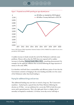



Source: HM Treasury Public Expenditure Statistical Analyses (2014); Nuffield Trust analysis of cost curves provided by NHS England

A sudden increase in funds towards the end of the Parliament could also cause problems. History tells us that the NHS does not respond well to sudden increases in funding [\(National Audit Office, 2010\)](http://www.nao.org.uk/report/management-of-nhs-hospital-productivity/), something demonstrated, for example, by the rapid pay inflation that occurred following the large injection of money in the early 2000s.

It is therefore vital both from a sustainability and efficiency point of view that the Government commits to bringing in the extra funding smoothly over the course of the Parliament rather than back-loading it.

#### Paying for additional drugs and services

This additional funding may now have to stretch a long way. The Conservative manifesto – backed up by a speech from the Prime Minister following the election on 18 May – set out ambitions for a seven-day NHS in both the acute sector and in general practice. This is the right goal: there is a higher risk of mortality in hospitals at weekends. A 24-hour, seven-day service will help to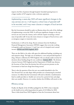improve the flow of patients through hospital. Extended opening hours in a larger number of GP surgeries is also a welcome aspiration.

*Implementing a seven-day NHS will mean significant changes to the way services are run, it will require a critical mass of specialist staff to be recruited, and it may mean closures or mergers of local services*

But the Government should be under no illusions about the scale of the challenge of implementing a seven-day NHS. It will mean significant changes to the way services are run across the country, and it will also require recruiting a critical mass of specialist staff. It may also mean closures or mergers of local services, such as emergency surgery or maternity units.

Furthermore, it will not be cheap. Recent estimates from the Healthcare Financial Management Association (HFMA) suggest that seven-day working in hospitals could cost between 1.5 and 2 per cent of a hospital trust's annual income ([HFMA and NHS England, 2013\)](http://www.england.nhs.uk/wp-content/uploads/2013/12/costing-7-day.pdf).

There are also likely to be other calls upon the additional funding, including new and expensive drugs. The high cost of sofosbuvir, a new and powerful hepatitis C drug, will pose a dilemma for NHS England, who are already under scrutiny for decisions about funding drugs for rare conditions ([Lintern, 2015\)](http://www.lgcplus.com/news/health/social-care/nhs-england-labelled-dysfunctional-over-drug-policy-delay/5083919.article). The division of power between NHS England and the Department of Health may distance the Secretary of State from this decision but will not prevent pressure on the Government to fund new drugs from being exerted.

There is also the question of how the new care models identified in the *Five Year Forward View* can take shape while providers are so hamstrung by stretched resources. It is likely that the Government will need to identify a transformation fund to enable providers to 'double run' services for a period of time and adapt their care models. However, it is unclear whether the £8 billion will stretch to this.

#### Efficiency savings

Finally, the flipside of the £8 billion pledged for the NHS is that it depends on the health service achieving productivity gains of £22 billion by 2020. There is little detail from NHS England or from the Government about how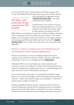# $\binom{2}{3}\binom{4}{4}\binom{5}{5}$  $\binom{2}{3}\binom{4}{4}\binom{5}{5}$  $\binom{2}{3}\binom{4}{4}\binom{5}{5}$  $\binom{2}{3}\binom{4}{4}\binom{5}{5}$  $\binom{2}{3}\binom{4}{4}\binom{5}{5}$  $\binom{2}{3}\binom{4}{4}\binom{5}{5}$  $\binom{2}{3}\binom{4}{4}\binom{5}{5}$  $\binom{2}{3}\binom{4}{4}\binom{5}{5}$  $\binom{2}{3}\binom{4}{4}\binom{5}{5}$

the service will deliver these or what proportion will release savings in terms of cash. NHS England Chief Executive Simon Stevens said on 18 May that this

£22 billion: total productivity savings required in the NHS by 2020

will be provided by his organisation in June [\(Health Service Journal, 2015\)](http://www.hsj.co.uk/news/hsj-live/hsj-live-180515-stevens-to-set-out-detail-on-22bn-efficiency-challenge/5085085.article#.VVy5-_lVhBc) – this will be an important piece of analysis.

The NHS knows it must stretch every pound further. But achieving productivity on the scale implied by the *Five Year Forward View* would be unprecedented. The majority of the £20

billion efficiency savings delivered as part of the 'Nicholson Challenge' during the 2010–15 parliament came from a combination of pay restraint, cuts to central budgets, cuts to the payment tariff, and the abolition of some regional and local tiers of management following the Health and Social Care Act 2012 [\(Appleby](http://www.kingsfund.org.uk/sites/files/kf/field/field_publication_file/the-nhs-productivity-challenge-kingsfund-may14.pdf)  [and others, 2014](http://www.kingsfund.org.uk/sites/files/kf/field/field_publication_file/the-nhs-productivity-challenge-kingsfund-may14.pdf)). But it is unclear how much more can be extracted from these approaches.

## Priority 2: Commit to a fundamental review of health and social care funding that involves all major political parties.

The lack of any discussion on social care funding throughout the election campaign was an omission from all parties, despite social care for older adults experiencing a 16 per cent cut in funding since 2010 ([Holder, 2014](http://www.qualitywatch.org.uk/blog/another-year-cuts-social-care)).

Although the 2014 Care Act has brought some much-needed clarity and consistency to social care entitlements, it will not end the rationing of social care, eliminate the fragmentation of health and social care, or change the illogical and unfair variations in access to NHS-funded continuing care.

The Conservative Party's wider plans for continued fiscal consolidation imply further cuts to local authority budgets, which will inevitably put great pressure on social care – usually a local authority's largest area of expenditure – and will have unknown knock-on effects for health care.

Finding an equitable and efficient solution to funding social care has been an unresolved public policy question that has troubled governments of all political persuasions for decades. We therefore recommend the Government commits to a fundamental review of health and social care funding involving all major parties.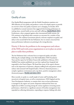# $(2) (3) (4) (5)$  $(2) (3) (4) (5)$  $(2) (3) (4) (5)$  $(2) (3) (4) (5)$  $(2) (3) (4) (5)$  $(2) (3) (4) (5)$  $(2) (3) (4) (5)$

## <span id="page-10-0"></span>3

## Quality of care

Our QualityWatch programme with the Health Foundation examines over 300 indicators of care quality and produces a series of in-depth reports to provide an overview of how the quality of patient care is changing. In October 2014 we published an annual statement that suggested deteriorating performance in waiting times, mental health services and staff wellbeing ([QualityWatch, 2014](http://www.qualitywatch.org.uk/sites/files/qualitywatch/field/field_document/QW%20annual%20statement%2014%20%28final%29.pdf)). Furthermore, when compared against other international health systems, the UK continues to lag behind other countries on outcomes for a number of key conditions. The coalition Government placed a welcome emphasis on quality and safety in the second half of the last Parliament, but we remain concerned that many performance indicators are pointing in the wrong direction.

Priority 3: Review the problems in the management and culture of the NHS and work across organisations to set in place an action plan to tackle these problems.

The last Parliament had a welcome focus on improved quality and safety following the multiple failings at the Mid Staffordshire NHS Foundation Trust and the report by Sir Robert Francis QC published in February 2013. Nuffield Trust analysis published one year later explored how hospitals had responded to the Francis Report. We found that many of the report's themes, such as the importance of openness, adequate staffing levels and patient-centred culture, had resonated with hospital leaders. However, financial pressures, a complex regulatory environment and a top-down, punitive management culture threatened progress [\(Thorlby and others, 2014\)](http://www.nuffieldtrust.org.uk/publications/francis-inquiry-one-year-on).

More recently, we spoke to a small sample of senior staff (including chief executives) at hospital trusts, as well as commissioners, NHS England and the Trust Development Authority, to examine their views on how performance is managed in the urgent care system. Responses indicated that there was duplication of effort occurring among the various regulators overseeing system performance, which led to a significant amount of frontline management time expended on collecting information, responding to requests, linking with other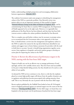# $(2) (3) (4) (5)$  $(2) (3) (4) (5)$  $(2) (3) (4) (5)$  $(2) (3) (4) (5)$  $(2) (3) (4) (5)$  $(2) (3) (4) (5)$  $(2) (3) (4) (5)$  $(2) (3) (4) (5)$  $(2) (3) (4) (5)$

bodies, understanding multiple perspectives and encouraging collaboration between organisations ([Edwards, 2015](http://www.hsj.co.uk/comment/the-way-the-nhs-manages-ae-problems-is-not-fit-for-purpose/5082726.article#.VVIaFPlVhBc)).

The coalition Government made some progress in identifying the management culture of the NHS as a particular problem. Don Berwick's review into patient safety set out an important statement of what needed to happen [\(National Advisory Group on the Safety of Patients in England, 2013](https://www.gov.uk/government/uploads/system/uploads/attachment_data/file/226703/Berwick_Report.pdf)), and by commissioning Sir Stuart Rose to examine NHS management, the Department of Health appeared to be on the right track. However, it is regrettable that publication of the Rose Review has been delayed, and that there has been little concrete action to address the culture problems identified by Don Berwick.

This is a complex area and further evidence may be necessary to prompt action, so we recommend that the Government takes a twin approach to this issue. First, it should initiate a review into the management and regulatory culture in the NHS to explore the reasons for the top-down behaviours identified in our analysis and suggest ways to better balance autonomy for providers with the need to hold them to account. Second, it should bring organisations together across sectors, from regulators to hospitals, and involve patient groups to develop an action plan for improving the culture in the NHS.

## Priority 4: Review the effectiveness of performance targets in the NHS, starting with the four-hour A&E target.

Targets in health care can be an effective way to manage performance if used sparingly, and for a few carefully chosen areas. They have been used successfully in the past to help identify failing systems, but they should never be used as a sole arbiter of care quality.

As demand for NHS services continues to rise, there is a risk that the emphasis placed on certain high-profile targets will detract from the quality of patient care, as regulators and politicians become preoccupied with seeking assurance from staff. This is very obviously the case at present with the four-hour A&E target.

Recent analysis published by the Nuffield Trust looked at how all 156 hospital trusts in England performed against six national targets over the course of the last Parliament ([Dorning and Blunt, 2015](http://www.nuffieldtrust.org.uk/publications/access-hospital-care-nhs-target)). On the A&E target, we found that even hospitals in the top ten per cent for performance breached the four-hour target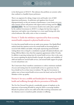in the third quarter of 2014/15. This indicates that problems are systemic rather than confined to a handful of poor performers.

There is an argument for taking a longer-term and broader view of A&E department performance. As politicians and regulators have focused disproportionately on this one measure of performance, it now looms over every other measure of how well patients with urgent needs are being cared for ([Blunt](http://www.nuffieldtrust.org.uk/publications/whats-behind-ae-crisis)  [and others, 2015](http://www.nuffieldtrust.org.uk/publications/whats-behind-ae-crisis)). The new Government should revisit earlier plans explored by the coalition Government in 2010/11 to relegate the four-hour target in importance and explore ways of putting it on a more equal footing with other critical indicators, like trolley waits or time to treatment.

## Priority 5: Tackle the imbalance experienced by those accessing mental health compared to physical health services.

It is clear that mental health services are under severe pressure. Our QualityWatch analysis found that inpatient services for mental health are becoming harder to access for both children and adults, with people experiencing mental ill health waiting almost twice as long for a consultation as people with physical ailments, and being a fifth less likely to have their first outpatient appointment within 18 weeks. In addition to growing waiting times for mental health services, there is also cause for concern regarding the physical health of people, the quality and availability of child and adolescent mental health services, and mental health support for people in acute and primary care.

The Conservative Party's manifesto commitment to enforce minimum standards of access and waiting times for mental health services is a good start, but the focus should not be on these issues in isolation. We urge the Government to explore ways to boost mental health services across the board, and use the NHS Mandate to drive up quality.

## Priority 6: Set out a credible and funded plan for improving people's health and wellbeing through effective prevention of ill health.

The *Five Year Forward View* placed a considerable amount of emphasis on the importance of preventing ill health by using the NHS to encourage healthier lifestyles for patients (and its own staff) and by fully involving communities and the voluntary sector to transform public attitudes to wellbeing.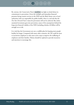By contrast, the Conservative Party's [manifesto](https://www.conservatives.com/Manifesto) was light on detail about its commitment to prevention. Given the multiple and immediate financial pressures facing curative services in the NHS and the likely future cuts to local authorities (who are responsible for public health), there is a real risk that the *Five Year Forward View*'s vision for prevention will not be achieved. But unless sustained investment goes into prevention, many of the assumptions behind the long-term financial viability of the NHS (including whether £8 billion will be enough) are at risk.

It is vital that the Government sets out a credible plan for keeping more people healthy for longer. Compared with many other countries, the UK could do more to incentivise employers to take more active steps to improve the wellbeing of employees and their families. Policies should be explored to provide incentives and sanctions to encourage this.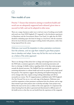# <span id="page-14-0"></span>4

## New models of care

Priority 7: Ensure that initiatives aiming to transform health and social care are adequately supported and evaluated, given time to succeed (or fail), and can be adopted in other areas.

There are a range of projects under way to trial new ways of working across health and social care, from NHS England's 29 'vanguards' to the devolution experiment in Manchester and the Government's Better Care Fund. It is right that the NHS should be embarking upon this kind of change at a local level, with the transition driven by local clinicians and managers working closely with patients, rather than being imposed from the centre.

*Politicians must avoid the temptation to draw premature conclusions from the schemes, and we urge them instead to give these projects time to develop and adapt. Some may fail but this must not be seen as a failure of the entire approach*

There is no shortage of ideas about how to design and manage better services, but the NHS lacks a consistent approach to effectively monitoring innovation and there is a shortage of reliable evidence regarding which of the ideas makes progress towards the desired outcomes. The Nuffield Trust has considerable expertise in examining information to evaluate health and social care projects and to help spread best practice. Our experience suggests that planning and implementing large-scale service changes takes time, requires strong working relationships and will not necessarily save money. The 29 vanguard projects established under NHS England's *Five Year Forward View* are at a very early stage of development. Politicians must avoid the temptation to draw premature conclusions from the schemes, and we urge them instead to give these projects time to develop and adapt. Some projects may fail but this must not be seen as a failure of the entire approach. It is important that robust learning from the pilots is generated and disseminated to different parts of the health service so that they too can benefit from the experiences of the vanguards.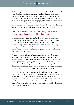While pooling health and social care budgets – as Manchester is about to do and Better Care Fund areas have already done – might be the right thing to do in principle, we are wary of linking it to quick financial savings. Such approaches might create opportunities for financial savings over the longer term, but such savings are far from guaranteed, and bringing together the budgets of two services will not reverse the long-term funding problems of social care. An additional concern is that the money currently available for research, education and training (around £5 billion in total) will be siphoned off to front-line services.

## Priority 8: Support and encourage the development of new care models in general practice and wider primary care.

Developing new ways of working and building new models of care around the needs of patients is important in all areas. However, transforming the care that patients and the public receive outside of hospital needs to be a particular priority. Shifting care out of hospitals into the community has been a longrunning policy goal but, despite the rhetoric, there has been little progress and funding for out-of-hospital care. Funding for general practice in particular has lagged behind the hospital sector.

To achieve this there will need to be a step change in services offered through GP surgeries and community care. However, with general practice facing a looming workforce crunch caused by a potential shortfall in GP numbers, real financial pressures and a growing primary care workload, there is a clear need to embrace change. Scaled-up general practice, better use of existing skills such as pharmacists or practice nurses, and developing innovative working arrangements with other health or social care providers in the area should all be pursued.

As with the other care models being explored, it will be important to strike the right balance between allowing new GP organisations the freedom to experiment and test new ways of working without undermining accountability to the taxpayer. Politicians should also be mindful of the need to evaluate such projects to understand what works – trialling different approaches and disseminating the learning from them, rather than applying a 'one size fits all' model, will be crucial to the future of general practice.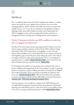# $(2) (3) (4) (5)$  $(2) (3) (4) (5)$  $(2) (3) (4) (5)$  $(2) (3) (4) (5)$  $(2) (3) (4) (5)$  $(2) (3) (4) (5)$  $(2) (3) (4) (5)$

# <span id="page-16-0"></span>5

## **Workforce**

Over 1.4 million people work in the NHS in England and a further 1.5 million work in the social care sector. Together they account for one in ten of the working population. Staff are therefore the health and social care system's most valuable resource, yet we enter the new Parliament with significant workforce challenges ahead: many staff in health and social care feel undervalued, the NHS is struggling to attract and retain high-quality leaders, and there is a misalignment between existing ways of working and the needs of patients.

## Priority 9: Reconnect with the core NHS workforce in order that they are engaged and empowered.

The effect of five years of pay restraint, growing demand for health care services and increasing complexity of patient need has left the NHS workforce feeling undervalued. Many NHS organisations are struggling to recruit and retain clinical staff and staffing costs are being inflated by the use of agency and locum staff. Significant gaps are also forecast in some staff groups such as GPs, while an oversupply is forecast in others such as pharmacists. One in ten training places in general practice is unfilled [\(Dayan and others, 2014\)](http://www.nuffieldtrust.org.uk/publications/general-practice-crisis) and, at board level, one third of hospital trusts have reported vacancies ([Janjua, 2014](http://www.kingsfund.org.uk/sites/files/kf/field/field_publication_file/leadership-vacancies-in-the-nhs-kingsfund-dec14.pdf)).

In the hospital sector, public sector pay policies have combined with a drive to increase staffing levels brought about by the Francis Inquiry to result in a growing reliance on temporary or agency staffing, particularly in nursing. Recent Nuffield Trust analysis described a 20 per cent growth in spending on temporary staff in one year ([Lafond and others, 2014](http://www.nuffieldtrust.org.uk/sites/files/nuffield/publication/into-the-red-report.pdf)). NHS and Foundation Trust spending on contract and agency staff increased by £800 million in the last financial year [\(Monitor, 2015;](https://www.gov.uk/government/uploads/system/uploads/attachment_data/file/429778/BM1552_Performance_of_the_NHSFT_sector_Q4_201415.pdf) [NHS Trust Development Authority, 2015\)](http://www.ntda.nhs.uk/wp-content/uploads/2015/03/Paper-D-Service-and-Financial-Performance-Report-for-March-2015.pdf).

There has also been a rise in staff stress. Analysis of the NHS Staff Survey for our QualityWatch programme demonstrated that the proportion of NHS staff reporting stress-related illness rose by a tenth, from 28 per cent in 2008 to 38 per cent in 2013, reversing a declining trend prior to 2008 [\(QualityWatch, 2014\)](http://www.qualitywatch.org.uk/annual-statement).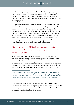# $\binom{2}{3} \binom{4}{4} \binom{5}{5}$  $\binom{2}{3} \binom{4}{4} \binom{5}{5}$  $\binom{2}{3} \binom{4}{4} \binom{5}{5}$  $\binom{2}{3} \binom{4}{4} \binom{5}{5}$  $\binom{2}{3} \binom{4}{4} \binom{5}{5}$  $\binom{2}{3} \binom{4}{4} \binom{5}{5}$  $\binom{2}{3} \binom{4}{4} \binom{5}{5}$  $\binom{2}{3} \binom{4}{4} \binom{5}{5}$  $\binom{2}{3} \binom{4}{4} \binom{5}{5}$

NHS England figures suggest that workload and staff shortages may contribute to the problem: the 2014 NHS Staff Survey reported that 44 per cent of respondents felt that they were unable to manage conflicting demands on their time and 47 per cent said that there were not enough staff to enable them to do their job properly.

An engaged and empowered NHS workforce will be crucial for meeting the multiple challenges ahead for the health service, including the efficiency challenge and the move to seven-day services. However, staff burnout is becoming a significant risk in many settings. Politicians must think carefully about how to reconcile the need to develop and encourage the workforce with the inevitable political desire to maintain 'grip' on the NHS when the financial situation continues to deteriorate. We recommend that the Government prioritises reconnecting with the NHS workforce and ensuring staff feel valued in their work. The reliance on agency staffing also needs to be reduced.

## Priority 10: Help the NHS implement successful workforce development and planning that realigns ways of working with the needs of patients.

Successful workforce planning should also ensure that we have the right number of staff with the right skills in the right place at the right time. Yet the professional health care workforce has been trained to work in a model based on acute episodes of care at a time when the greatest demands on the health and social care system come from older people with multiple long-term conditions who need care for their mental and physical health, as well as social care needs.

*Manifesto pledges to recruit a specific number of doctors or nurses may do more harm than good. Targets may ultimately leave significant workforce gaps and miss opportunities to deploy staff differently*

Developing more generalist skills in secondary care, more specialist skills in primary care, and more resources in primary and community care to support the increasingly complex needs of patients would be a way forward. But we have seen precisely the opposite clinical workforce trends.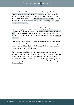# $\big(\, 3 \, \big) \big(\, 4 \, \big) \,\big(\, 5 \,\big]$  $\big(\, 3 \, \big) \big(\, 4 \, \big) \,\big(\, 5 \,\big]$  $\big(\, 3 \, \big) \big(\, 4 \, \big) \,\big(\, 5 \,\big]$  $\big(\, 3 \, \big) \big(\, 4 \, \big) \,\big(\, 5 \,\big]$  $\big(\, 3 \, \big) \big(\, 4 \, \big) \,\big(\, 5 \,\big]$  $\big(\, 3 \, \big) \big(\, 4 \, \big) \,\big(\, 5 \,\big]$  $\big(\, 3 \, \big) \big(\, 4 \, \big) \,\big(\, 5 \,\big]$

Between 2004 and 2014 the number of hospital doctors grew by 44 per cent [\(Health and Social Care Information Centre, 2015](http://www.hscic.gov.uk/catalogue/PUB16973/nhs-staf-2004-2014-over-rep.pdf)) and, while the number of GPs per 100,000 population across England increased from 54 in 1995 to 62 in 2009, it has now declined to 59.5 [\(Health Education England, 2014\)](http://hee.nhs.uk/wp-content/uploads/sites/321/2014/07/GP-Taskforce-report.pdf). Between 2001 and 2011 the number of community nurses fell by 38 per cent [\(Royal](http://www.rcn.org.uk/__data/assets/pdf_file/0008/521198/004366_District_nursing_harnessing_the_potential.pdf)  [College of Nursing, 2013\)](http://www.rcn.org.uk/__data/assets/pdf_file/0008/521198/004366_District_nursing_harnessing_the_potential.pdf).

Cuts in social care mean that this area is facing growing workload pressures too. Poor terms and conditions coupled with demanding yet sensitive tasks make social care a difficult area for retaining staff ([Centre for Workforce Intelligence,](http://www.cfwi.org.uk/publications/planning-and-developing-the-adult-social-care-workforce-risks-and-opportunities-for-employers/@@publication-detail)  [2013](http://www.cfwi.org.uk/publications/planning-and-developing-the-adult-social-care-workforce-risks-and-opportunities-for-employers/@@publication-detail)). In domiciliary care, around 30 per cent of staff leave their jobs each year. By 2025 there could be a shortfall of over 600,000 care workers [\(Skills for](http://www.skillsforcare.org.uk/Document-library/NMDS-SC,-workforce-intelligence-and-innovation/NMDS-SC/Size-and-structure/SFC-SIZEANDSTRUCTURE-NEW-MASTER-DY.pdf)  [Care, 2014](http://www.skillsforcare.org.uk/Document-library/NMDS-SC,-workforce-intelligence-and-innovation/NMDS-SC/Size-and-structure/SFC-SIZEANDSTRUCTURE-NEW-MASTER-DY.pdf)).

But manifesto pledges to recruit a specific number of doctors or nurses may do more harm than good. Targets may ultimately leave significant workforce gaps and miss opportunities to deploy staff differently. Workforce issues vary across the country and require local solutions.

The Government should be reviewing workforce plans and encouraging opportunities to deploy staff in different ways, including changing the skill mix and/or upskilling staff, to address these challenges and improve the quality of care. We recommend the Government sets a clear strategy for training the new workforce and supporting the existing workforce, and makes clear its long-term plans on staff pay.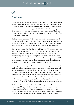# $\binom{2}{3} \binom{4}{4} \binom{5}{5}$  $\binom{2}{3} \binom{4}{4} \binom{5}{5}$  $\binom{2}{3} \binom{4}{4} \binom{5}{5}$  $\binom{2}{3} \binom{4}{4} \binom{5}{5}$  $\binom{2}{3} \binom{4}{4} \binom{5}{5}$  $\binom{2}{3} \binom{4}{4} \binom{5}{5}$  $\binom{2}{3} \binom{4}{4} \binom{5}{5}$  $\binom{2}{3} \binom{4}{4} \binom{5}{5}$  $\binom{2}{3} \binom{4}{4} \binom{5}{5}$

# <span id="page-19-0"></span>6

## Conclusion

The start of the new Parliament provides the opportunity for political and health leaders to develop a long-term plan that puts the NHS and social care system on a sustainable footing. The *Five Year Forward View* provides the NHS leadership's own plan and there is much to support in this vision. While it does not provide all the answers, we would urge politicians to work with the grain of the *Forward View* and support the local innovation and experimentation that will follow from the vanguards in particular.

The financial outlook for the NHS – not to mention for social care services – is a significant cause for concern, and, as our QualityWatch programme has shown, we are now seeing worrying signs that historic gains in quality are going into reverse, particularly around waiting times, mental health services and staff wellbeing.

How politicians respond to this challenge will be critical. We have outlined some of the more immediate approaches that we would recommend. However, more generally, we would also encourage further thinking on the mechanisms for creating change that are deployed during this Parliament. The NHS has become fixated with the use of targets, micro-incentives and punitive approaches, which are an attempt to continue to try and manage care services in detail. Directives and requirements enforced by regulation have also been overused.

But the approach to change outlined in the *Forward View* requires more organic and locally tailored approaches. For these approaches to be successful, there will need to be experimentation, risk taking, and time and space for clinical and managerial leaders to do the work. It will require a shift in mind-set away from central control. It will also require an engaged and empowered NHS workforce. Politicians must therefore think carefully about how to reconcile the need to develop and encourage the workforce with the inevitable political desire to maintain 'grip' on the NHS when the financial situation continues to deteriorate.

We do not underestimate how difficult this will be for political and health system leaders – especially given the deteriorating financial outlook and the need to maintain standards of quality. However, it is essential that we move to a more empowering, bottom-up approach while at the same time holding health care leaders to account for the care their organisations deliver to patients and service users.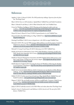# [1](#page-4-0) ) ( [2](#page-5-0) ) ( [3](#page-10-0) ) ( [4](#page-14-0) ) ( [5](#page-16-0) ) ( [6](#page-19-0)

## <span id="page-20-0"></span>References

Appleby J, Galea A, Murray R (2014) *The NHS productivity challenge: Experience from the front line.* The King's Fund.

Blunt I (2014) *Focus on: A&E attendances.* QualityWatch. Nuffield Trust and Health Foundation.

Blunt I, Edwards N and Merry L (2015) *What's behind the A&E 'crisis'*? Nuffield Trust.

Centre for Workforce Intelligence (2013) Planning and developing the adult social care workforce. [www.cfwi.org.uk/publications/planning-and-developing-the-adult-social-care](http://www.cfwi.org.uk/publications/planning-and-developing-the-adult-social-care-workforce-risks-and-opportunities-for-employers/@@publication-detail)[workforce-risks-and-opportunities-for-employers/@@publication-detail](http://www.cfwi.org.uk/publications/planning-and-developing-the-adult-social-care-workforce-risks-and-opportunities-for-employers/@@publication-detail) .

Dayan M, Arora S, Rosen R, Curry N (2014) *Is general practice in crisis?* Nuffield Trust.

- Dayan M (2015) The NHS bidding war. Blog, Nuffield Trust. [http://www.nuffieldtrust.org.uk/](http://www.nuffieldtrust.org.uk/blog/nhs-bidding-war) [blog/nhs-bidding-war](http://www.nuffieldtrust.org.uk/blog/nhs-bidding-war) .
- Dorning H and Blunt I (2015) *Access to hospital care: is the NHS on target?* Nuffield Trust.
- Edwards N (2015) The way the NHS manages A&E problems is not fit for purpose. Comment, *Health Service Journal,* 2 March. [www.hsj.co.uk/comment/the-way-the-nhs-manages-ae](http://www.hsj.co.uk/comment/the-way-the-nhs-manages-ae-problems-is-not-fit-for-purpose/5082726.article#.VVW9W_lVhBd)[problems-is-not-fit-for-purpose/5082726.article#.VVW9W\\_lVhBd](http://www.hsj.co.uk/comment/the-way-the-nhs-manages-ae-problems-is-not-fit-for-purpose/5082726.article#.VVW9W_lVhBd) .
- Edwards N, Crump H and Dayan M (2015) *Rationing in the NHS.* Nuffield Trust.
- Health and Social Care Information Centre (2015) NHS Workforce: Summary of staff in the NHS: Results from September 2014 Census. [www.hscic.gov.uk/catalogue/PUB16973/nhs](http://www.hscic.gov.uk/catalogue/PUB16973/nhs-staf-2004-2014-over-rep.pdf)[staf-2004-2014-over-rep.pdf](http://www.hscic.gov.uk/catalogue/PUB16973/nhs-staf-2004-2014-over-rep.pdf) .
- Healthcare Financial Management Association and NHS England (2013) NHS services, seven days a week: forum. Costing seven day services. Report. [www.england.nhs.uk/wp-content/](http://www.england.nhs.uk/wp-content/uploads/2013/12/costing-7-day.pdf) [uploads/2013/12/costing-7-day.pdf](http://www.england.nhs.uk/wp-content/uploads/2013/12/costing-7-day.pdf) .
- Health Education England (2014) Securing the Future GP Workforce Delivering the Mandate on GP Expansion. Final Report. [http://hee.nhs.uk/wp-content/uploads/sites/321/2014/07/](http://hee.nhs.uk/wp-content/uploads/sites/321/2014/07/GP-Taskforce-report.pdf) [GP-Taskforce-report.pdf](http://hee.nhs.uk/wp-content/uploads/sites/321/2014/07/GP-Taskforce-report.pdf) .
- Health Service Journal (2015) HSJ Live 18.05.15: Stevens to set out detail on £22bn efficiency challenge. 18 May. [http://www.hsj.co.uk/news/hsj-live/hsj-live-180515-stevens-to-set-out](http://www.hsj.co.uk/news/hsj-live/hsj-live-180515-stevens-to-set-out-detail-on-22bn-efficiency-challenge/5085085.article#.VWWZs89VhBd)[detail-on-22bn-efficiency-challenge/5085085.article#.VWWZs89VhBd](http://www.hsj.co.uk/news/hsj-live/hsj-live-180515-stevens-to-set-out-detail-on-22bn-efficiency-challenge/5085085.article#.VWWZs89VhBd) .
- Holder H (2014) Another year of cuts of social care. Blog, QualityWatch. Nuffield Trust and Health Foundation. [www.qualitywatch.org.uk/blog/another-year-cuts-social-care](http://www.qualitywatch.org.uk/blog/another-year-cuts-social-care) .
- Hopson C (2015) The new health secretary will face an uphill battle. Comment, *Health Service Journal,* 8 May. [www.hsj.co.uk/comment/the-new-health-secretary-will-face-an-uphill](http://www.hsj.co.uk/comment/the-new-health-secretary-will-face-an-uphill-battle/5084654.article#.VVW0WvlVhBc)[battle/5084654.article#.VVW0WvlVhBc](http://www.hsj.co.uk/comment/the-new-health-secretary-will-face-an-uphill-battle/5084654.article#.VVW0WvlVhBc) .
- Janjua A (2014) *Leadership vacancies in the NHS: What can be done about them?* The King's Fund.
- Lafond S, Arora S, Charlesworth A and McKeon A (2014) *Into the red? The state of the NHS's finances.* Nuffield Trust.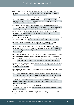# [1](#page-4-0) ) ( [2](#page-5-0) ) ( [3](#page-10-0) ) ( [4](#page-14-0) ) ( [5](#page-16-0) ) ( [6](#page-19-0)

- Lintern S (2015) NHS England labelled 'dysfunctional' over drug policy delay. *Local Government Chronicle*, 7 April. [www.lgcplus.com/news/health/social-care/nhs-england](http://www.lgcplus.com/news/health/social-care/nhs-england-labelled-dysfunctional-over-drug-policy-delay/5083919.article)[labelled-dysfunctional-over-drug-policy-delay/5083919.article#](http://www.lgcplus.com/news/health/social-care/nhs-england-labelled-dysfunctional-over-drug-policy-delay/5083919.article) .
- Local Government Association and Association of Directors of Adult Social Services (2014) Adult social care funding: 2014 state of the nation report. [http://www.local.gov.uk/](http://www.local.gov.uk/documents/10180/5854661/Adult+social+care+funding+2014+state+of+the+nation+report/e32866fa-d512-4e77-9961-8861d2d93238) [documents/10180/5854661/Adult+social+care+funding+2014+state+of+the+nation+report/](http://www.local.gov.uk/documents/10180/5854661/Adult+social+care+funding+2014+state+of+the+nation+report/e32866fa-d512-4e77-9961-8861d2d93238) [e32866fa-d512-4e77-9961-8861d2d93238](http://www.local.gov.uk/documents/10180/5854661/Adult+social+care+funding+2014+state+of+the+nation+report/e32866fa-d512-4e77-9961-8861d2d93238) .
- Monitor (2015) Quarterly report on the performance of the NHS foundation trust sector: year ended 31 March 2015. [https://www.gov.uk/government/uploads/system/uploads/attachment\\_](https://www.gov.uk/government/uploads/system/uploads/attachment_data/file/429778/BM1552_Performance_of_the_NHSFT_sector_Q4_201415.pdf) [data/file/429778/BM1552\\_Performance\\_of\\_the\\_NHSFT\\_sector\\_Q4\\_201415.pdf .](https://www.gov.uk/government/uploads/system/uploads/attachment_data/file/429778/BM1552_Performance_of_the_NHSFT_sector_Q4_201415.pdf)
- National Advisory Group on the Safety of Patients in England (2013) *A promise to learn, a commitment to act.* [www.gov.uk/government/uploads/system/uploads/attachment\\_data/](http://www.gov.uk/government/uploads/system/uploads/attachment_data/file/226703/Berwick_Report.pdf) [file/226703/Berwick\\_Report.pdf](http://www.gov.uk/government/uploads/system/uploads/attachment_data/file/226703/Berwick_Report.pdf) .
- National Audit Office (2010) Management of NHS hospital productivity. Department of Health and National Audit Office. <www.nao.org.uk/wp-content/uploads/2010/12/1011491.pdf>
- NHS England (2014) Consolidated 2013/14 finance report. Board Paper 1505143. www.england.nhs.uk/wp-content/uploads/2014/05/item6-board-0514.pdf .
- NHS Trust Development Authority (2015) NHS Trust Service and Financial Performance Report for the period ending 31 March 2015. Board meeting, 21 May. [http://www.ntda.nhs.](http://www.ntda.nhs.uk/wp-content/uploads/2015/03/Paper-D-Service-and-Financial-Performance-Report-for-March-2015.pdf) [uk/wp-content/uploads/2015/03/Paper-D-Service-and-Financial-Performance-Report-for-](http://www.ntda.nhs.uk/wp-content/uploads/2015/03/Paper-D-Service-and-Financial-Performance-Report-for-March-2015.pdf)[March-2015.pdf](http://www.ntda.nhs.uk/wp-content/uploads/2015/03/Paper-D-Service-and-Financial-Performance-Report-for-March-2015.pdf) .
- NHS England, Public Health England, Care Quality Commission, Trust Development Authority, Monitor and Health Education England (2014) *Five Year Forward View*. NHS England.
- Nuffield Trust (2014a) Health and Social Care Leaders' Panel survey results: finance. Nuffield Trust. <http://www.nuffieldtrust.org.uk/our-work/projects/health-leaders-survey-results-1>.
- Nuffield Trust (2014b) Understanding the Autumn Statement pre-announcements on 2015/16 health spending. Chart, Nuffield Trust. [www.nuffieldtrust.org.uk/sites/files/nuffield/image/](http://www.nuffieldtrust.org.uk/sites/files/nuffield/image/autumn_statement_main.jpg) [autumn\\_statement\\_main.jpg](http://www.nuffieldtrust.org.uk/sites/files/nuffield/image/autumn_statement_main.jpg) .
- QualityWatch (2014) *Cause for concern: QualityWatch annual statement 2014.* Nuffield Trust and Health Foundation.
- Royal College of Nursing (2013) *District nursing: Harnessing the potential.* [www.rcn.org.uk/\\_\\_](http://www.rcn.org.uk/__data/assets/pdf_file/0008/521198/004366_District_nursing_harnessing_the_potential.pdf) [data/assets/pdf\\_file/0008/521198/004366\\_District\\_nursing\\_harnessing\\_the\\_potential.pdf](http://www.rcn.org.uk/__data/assets/pdf_file/0008/521198/004366_District_nursing_harnessing_the_potential.pdf) .
- Skills for Care (2014) *The size and structure of the adult social care sector and workforce in England, 2014.* [www.skillsforcare.org.uk/Document-library/NMDS-SC,-workforce](http://www.skillsforcare.org.uk/Document-library/NMDS-SC,-workforce-intelligence-and-innovation/NMDS-SC/Size-and-structure/SFC-SIZEANDSTRUCTURE-NEW-MASTER-DY.pdf)[intelligence-and-innovation/NMDS-SC/Size-and-structure/SFC-SIZEANDSTRUCTURE-](http://www.skillsforcare.org.uk/Document-library/NMDS-SC,-workforce-intelligence-and-innovation/NMDS-SC/Size-and-structure/SFC-SIZEANDSTRUCTURE-NEW-MASTER-DY.pdf)[NEW-MASTER-DY.pdf](http://www.skillsforcare.org.uk/Document-library/NMDS-SC,-workforce-intelligence-and-innovation/NMDS-SC/Size-and-structure/SFC-SIZEANDSTRUCTURE-NEW-MASTER-DY.pdf) .
- Smith P, McKeon A, Blunt I Edwards N (2014) *NHS hospitals under pressure: trends in acute activity up to 2022*. Nuffield Trust. [www.nuffieldtrust.org.uk/sites/files/nuffield/publication/](http://www.nuffieldtrust.org.uk/sites/files/nuffield/publication/financial_times_web.pdf) [financial\\_times\\_web.pdf](http://www.nuffieldtrust.org.uk/sites/files/nuffield/publication/financial_times_web.pdf) .
- Thorlby R, Smith J, Dayan M and Williams S (2014) *The Francis Report: one year on.* Nuffield Trust.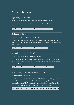## Previous policy briefings

### Is general practice in crisis?

mark dayan, sandeepa arora, rebecca rosen, natasha curry

An evidence-based overview of the current state of general practice in England, offering policy-makers some potential solutions.

<http://www.nuffieldtrust.org.uk/publications/general-practice-crisis>

## Rationing in the NHS

nigel edwards, helen crump, mark dayan

An overview of the current difficulties in making decisions about rationing health care in England, setting out some potential challenges for policy-makers in the future.

<http://www.nuffieldtrust.org.uk/publications/rationing-nhs>

## What's behind the A&E 'crisis'?

nigel edwards, ian blunt, leonora merry

An examination of the real reasons behind England's A&E 'crisis', giving some recommendations to policy-makers on how performance management should be approached in the future.

<http://www.nuffieldtrust.org.uk/publications/whats-behind-ae-crisis>

### Access to hospital care: is the NHS on target?

#### holly dorning, ian blunt

An examination of the performance of hospital trusts in England against six national targets, arguing against the notion that dips in performance can be attributed to a handful of poorly performing hospital trusts, and finding that there has been deterioration across the board in some measures.

<http://www.nuffieldtrust.org.uk/publications/access-hospital-care-nhs-target>